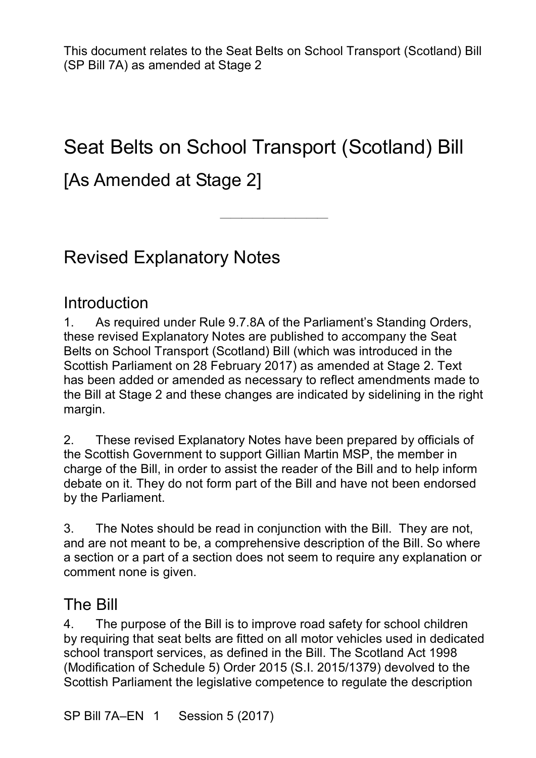## Seat Belts on School Transport (Scotland) Bill

————————————————————

## [As Amended at Stage 2]

## Revised Explanatory Notes

#### Introduction

1. As required under Rule 9.7.8A of the Parliament's Standing Orders, these revised Explanatory Notes are published to accompany the Seat Belts on School Transport (Scotland) Bill (which was introduced in the Scottish Parliament on 28 February 2017) as amended at Stage 2. Text has been added or amended as necessary to reflect amendments made to the Bill at Stage 2 and these changes are indicated by sidelining in the right margin.

2. These revised Explanatory Notes have been prepared by officials of the Scottish Government to support Gillian Martin MSP, the member in charge of the Bill, in order to assist the reader of the Bill and to help inform debate on it. They do not form part of the Bill and have not been endorsed by the Parliament.

3. The Notes should be read in conjunction with the Bill. They are not, and are not meant to be, a comprehensive description of the Bill. So where a section or a part of a section does not seem to require any explanation or comment none is given.

#### The Bill

4. The purpose of the Bill is to improve road safety for school children by requiring that seat belts are fitted on all motor vehicles used in dedicated school transport services, as defined in the Bill. The Scotland Act 1998 (Modification of Schedule 5) Order 2015 (S.I. 2015/1379) devolved to the Scottish Parliament the legislative competence to regulate the description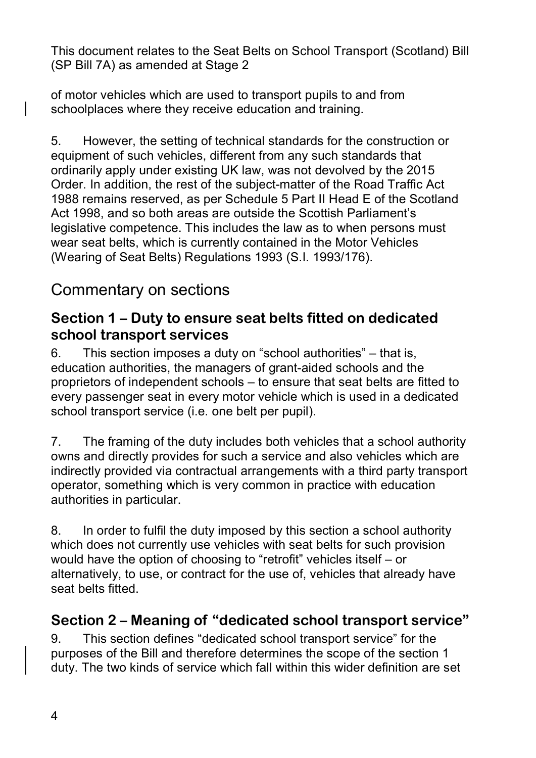of motor vehicles which are used to transport pupils to and from schoolplaces where they receive education and training.

5. However, the setting of technical standards for the construction or equipment of such vehicles, different from any such standards that ordinarily apply under existing UK law, was not devolved by the 2015 Order. In addition, the rest of the subject-matter of the Road Traffic Act 1988 remains reserved, as per Schedule 5 Part II Head E of the Scotland Act 1998, and so both areas are outside the Scottish Parliament's legislative competence. This includes the law as to when persons must wear seat belts, which is currently contained in the Motor Vehicles (Wearing of Seat Belts) Regulations 1993 (S.I. 1993/176).

### Commentary on sections

#### **Section 1 – Duty to ensure seat belts fitted on dedicated school transport services**

6. This section imposes a duty on "school authorities" – that is, education authorities, the managers of grant-aided schools and the proprietors of independent schools – to ensure that seat belts are fitted to every passenger seat in every motor vehicle which is used in a dedicated school transport service (i.e. one belt per pupil).

7. The framing of the duty includes both vehicles that a school authority owns and directly provides for such a service and also vehicles which are indirectly provided via contractual arrangements with a third party transport operator, something which is very common in practice with education authorities in particular.

8. In order to fulfil the duty imposed by this section a school authority which does not currently use vehicles with seat belts for such provision would have the option of choosing to "retrofit" vehicles itself – or alternatively, to use, or contract for the use of, vehicles that already have seat belts fitted.

#### **Section 2 – Meaning of "dedicated school transport service"**

9. This section defines "dedicated school transport service" for the purposes of the Bill and therefore determines the scope of the section 1 duty. The two kinds of service which fall within this wider definition are set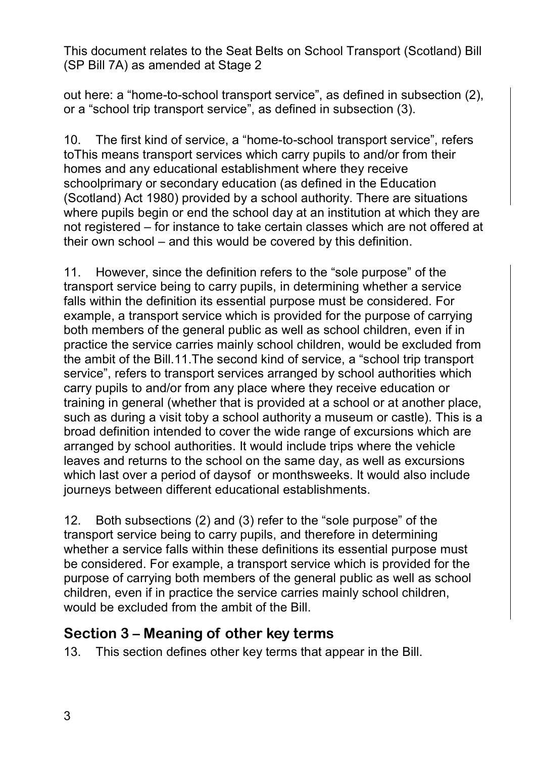out here: a "home-to-school transport service", as defined in subsection (2), or a "school trip transport service", as defined in subsection (3).

10. The first kind of service, a "home-to-school transport service", refers toThis means transport services which carry pupils to and/or from their homes and any educational establishment where they receive schoolprimary or secondary education (as defined in the Education (Scotland) Act 1980) provided by a school authority. There are situations where pupils begin or end the school day at an institution at which they are not registered – for instance to take certain classes which are not offered at their own school – and this would be covered by this definition.

11. However, since the definition refers to the "sole purpose" of the transport service being to carry pupils, in determining whether a service falls within the definition its essential purpose must be considered. For example, a transport service which is provided for the purpose of carrying both members of the general public as well as school children, even if in practice the service carries mainly school children, would be excluded from the ambit of the Bill.11.The second kind of service, a "school trip transport service", refers to transport services arranged by school authorities which carry pupils to and/or from any place where they receive education or training in general (whether that is provided at a school or at another place, such as during a visit toby a school authority a museum or castle). This is a broad definition intended to cover the wide range of excursions which are arranged by school authorities. It would include trips where the vehicle leaves and returns to the school on the same day, as well as excursions which last over a period of daysof or monthsweeks. It would also include journeys between different educational establishments.

12. Both subsections (2) and (3) refer to the "sole purpose" of the transport service being to carry pupils, and therefore in determining whether a service falls within these definitions its essential purpose must be considered. For example, a transport service which is provided for the purpose of carrying both members of the general public as well as school children, even if in practice the service carries mainly school children, would be excluded from the ambit of the Bill.

#### **Section 3 – Meaning of other key terms**

13. This section defines other key terms that appear in the Bill.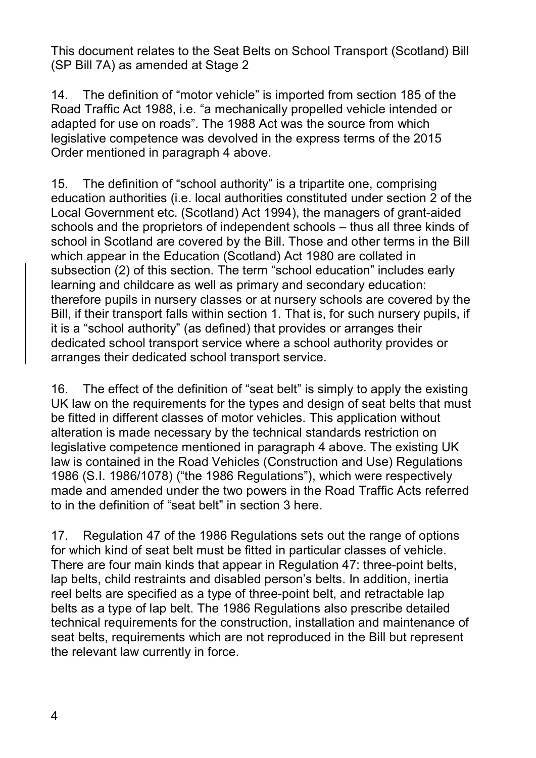14. The definition of "motor vehicle" is imported from section 185 of the Road Traffic Act 1988, i.e. "a mechanically propelled vehicle intended or adapted for use on roads". The 1988 Act was the source from which legislative competence was devolved in the express terms of the 2015 Order mentioned in paragraph 4 above.

15. The definition of "school authority" is a tripartite one, comprising education authorities (i.e. local authorities constituted under section 2 of the Local Government etc. (Scotland) Act 1994), the managers of grant-aided schools and the proprietors of independent schools – thus all three kinds of school in Scotland are covered by the Bill. Those and other terms in the Bill which appear in the Education (Scotland) Act 1980 are collated in subsection (2) of this section. The term "school education" includes early learning and childcare as well as primary and secondary education: therefore pupils in nursery classes or at nursery schools are covered by the Bill, if their transport falls within section 1. That is, for such nursery pupils, if it is a "school authority" (as defined) that provides or arranges their dedicated school transport service where a school authority provides or arranges their dedicated school transport service.

16. The effect of the definition of "seat belt" is simply to apply the existing UK law on the requirements for the types and design of seat belts that must be fitted in different classes of motor vehicles. This application without alteration is made necessary by the technical standards restriction on legislative competence mentioned in paragraph 4 above. The existing UK law is contained in the Road Vehicles (Construction and Use) Regulations 1986 (S.I. 1986/1078) ("the 1986 Regulations"), which were respectively made and amended under the two powers in the Road Traffic Acts referred to in the definition of "seat belt" in section 3 here.

17. Regulation 47 of the 1986 Regulations sets out the range of options for which kind of seat belt must be fitted in particular classes of vehicle. There are four main kinds that appear in Regulation 47: three-point belts, lap belts, child restraints and disabled person's belts. In addition, inertia reel belts are specified as a type of three-point belt, and retractable lap belts as a type of lap belt. The 1986 Regulations also prescribe detailed technical requirements for the construction, installation and maintenance of seat belts, requirements which are not reproduced in the Bill but represent the relevant law currently in force.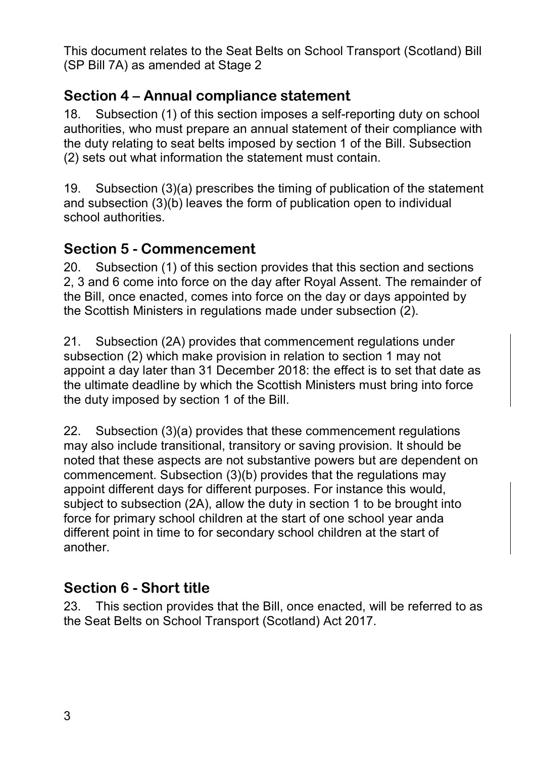#### **Section 4 – Annual compliance statement**

18. Subsection (1) of this section imposes a self-reporting duty on school authorities, who must prepare an annual statement of their compliance with the duty relating to seat belts imposed by section 1 of the Bill. Subsection (2) sets out what information the statement must contain.

19. Subsection (3)(a) prescribes the timing of publication of the statement and subsection (3)(b) leaves the form of publication open to individual school authorities.

#### **Section 5 - Commencement**

20. Subsection (1) of this section provides that this section and sections 2, 3 and 6 come into force on the day after Royal Assent. The remainder of the Bill, once enacted, comes into force on the day or days appointed by the Scottish Ministers in regulations made under subsection (2).

21. Subsection (2A) provides that commencement regulations under subsection (2) which make provision in relation to section 1 may not appoint a day later than 31 December 2018: the effect is to set that date as the ultimate deadline by which the Scottish Ministers must bring into force the duty imposed by section 1 of the Bill.

22. Subsection (3)(a) provides that these commencement regulations may also include transitional, transitory or saving provision. It should be noted that these aspects are not substantive powers but are dependent on commencement. Subsection (3)(b) provides that the regulations may appoint different days for different purposes. For instance this would, subject to subsection (2A), allow the duty in section 1 to be brought into force for primary school children at the start of one school year anda different point in time to for secondary school children at the start of another.

#### **Section 6 - Short title**

23. This section provides that the Bill, once enacted, will be referred to as the Seat Belts on School Transport (Scotland) Act 2017.